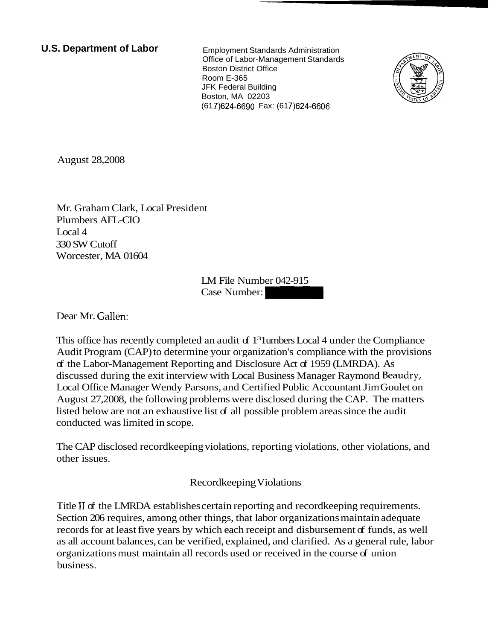**U.S. Department of Labor** Employment Standards Administration

Office of Labor-Management Standards Boston District Office Room E-365 JFK Federal Building Boston, MA 02203 (61 7)624-6690 Fax: (61 7)624-6606



August 28,2008

Mr. Graham Clark, Local President Plumbers AFL-CIO Local 4 330 SW Cutoff Worcester, MA 01604

LM File Number 042-915 nt<br>
IM File Number 042-915<br>
Case Number:

Dear Mr. Gallen:

This office has recently completed an audit of  $1<sup>3</sup>$  lumbers Local 4 under the Compliance Audit Program (CAP) to determine your organization's compliance with the provisions of the Labor-Management Reporting and Disclosure Act of 1959 (LMRDA). As discussed during the exit interview with Local Business Manager Raymond Beaudry, Local Office Manager Wendy Parsons, and Certified Public Accountant Jim Goulet on August 27,2008, the following problems were disclosed during the CAP. The matters listed below are not an exhaustive list of all possible problem areas since the audit conducted was limited in scope.

The CAP disclosed recordkeeping violations, reporting violations, other violations, and other issues.

# Recordkeeping Violations

Title II of the LMRDA establishes certain reporting and record keeping requirements. Section 206 requires, among other things, that labor organizations maintain adequate records for at least five years by which each receipt and disbursement of funds, as well as all account balances, can be verified, explained, and clarified. As a general rule, labor organizations must maintain all records used or received in the course of union business.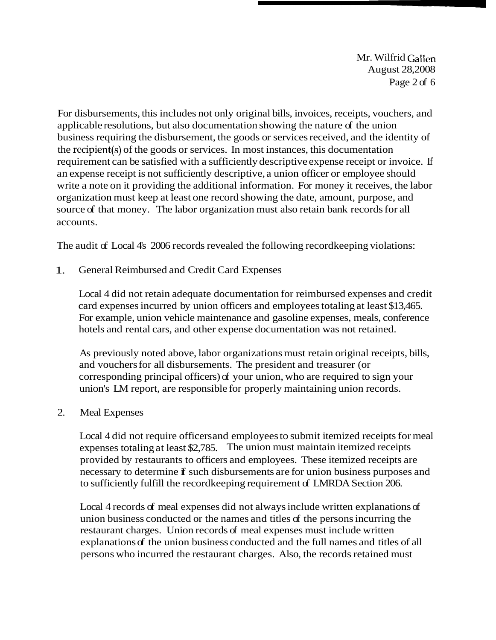Mr. Wilfrid Gallen August 28,2008 Page 2 of 6

For disbursements, this includes not only original bills, invoices, receipts, vouchers, and applicable resolutions, but also documentation showing the nature of the union business requiring the disbursement, the goods or services received, and the identity of the recipient(s) of the goods or services. In most instances, this documentation requirement can be satisfied with a sufficiently descriptive expense receipt or invoice. If an expense receipt is not sufficiently descriptive, a union officer or employee should write a note on it providing the additional information. For money it receives, the labor organization must keep at least one record showing the date, amount, purpose, and source of that money. The labor organization must also retain bank records for all accounts.

The audit of Local 4's 2006 records revealed the following recordkeeping violations:

1. General Reimbursed and Credit Card Expenses

Local 4 did not retain adequate documentation for reimbursed expenses and credit card expenses incurred by union officers and employees totaling at least \$13,465. For example, union vehicle maintenance and gasoline expenses, meals, conference hotels and rental cars, and other expense documentation was not retained.

As previously noted above, labor organizations must retain original receipts, bills, and vouchers for all disbursements. The president and treasurer (or corresponding principal officers) of your union, who are required to sign your union's LM report, are responsible for properly maintaining union records.

# 2. Meal Expenses

Local 4 did not require officers and employees to submit itemized receipts for meal expenses totaling at least \$2,785. The union must maintain itemized receipts provided by restaurants to officers and employees. These itemized receipts are necessary to determine if such disbursements are for union business purposes and to sufficiently fulfill the recordkeeping requirement of LMRDA Section 206.

Local 4 records of meal expenses did not always include written explanations of union business conducted or the names and titles of the persons incurring the restaurant charges. Union records of meal expenses must include written explanations of the union business conducted and the full names and titles of all persons who incurred the restaurant charges. Also, the records retained must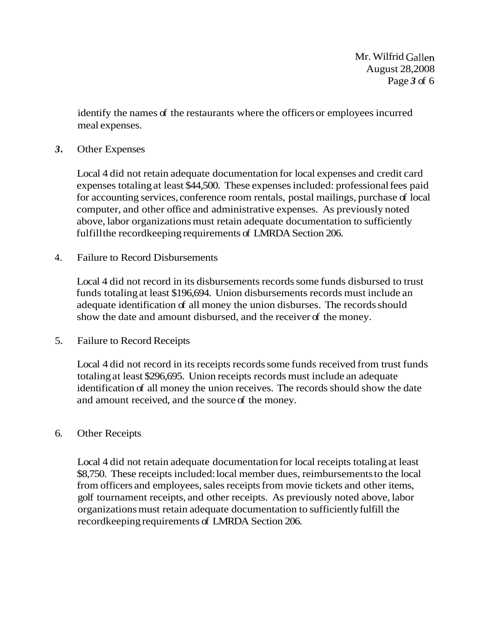identify the names of the restaurants where the officers or employees incurred meal expenses.

### *3.* Other Expenses

Local 4 did not retain adequate documentation for local expenses and credit card expenses totaling at least \$44,500. These expenses included: professional fees paid for accounting services, conference room rentals, postal mailings, purchase of local computer, and other office and administrative expenses. As previously noted above, labor organizations must retain adequate documentation to sufficiently fulfill the record keeping requirements of LMRDA Section 206.

### 4. Failure to Record Disbursements

Local 4 did not record in its disbursements records some funds disbursed to trust funds totaling at least \$196,694. Union disbursements records must include an adequate identification of all money the union disburses. The records should show the date and amount disbursed, and the receiver of the money.

5. Failure to Record Receipts

Local 4 did not record in its receipts records some funds received from trust funds totaling at least \$296,695. Union receipts records must include an adequate identification of all money the union receives. The records should show the date and amount received, and the source of the money.

#### 6. Other Receipts

Local 4 did not retain adequate documentation for local receipts totaling at least \$8,750. These receipts included: local member dues, reimbursements to the local from officers and employees, sales receipts from movie tickets and other items, golf tournament receipts, and other receipts. As previously noted above, labor organizations must retain adequate documentation to sufficiently fulfill the recordkeeping requirements of LMRDA Section 206.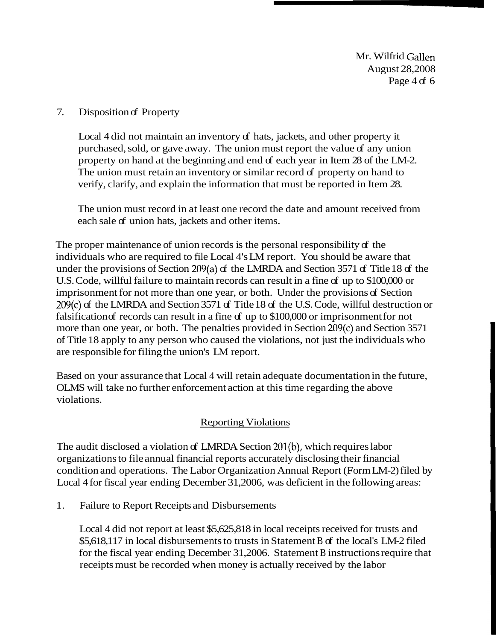Mr. Wilfrid Gallen August 28,2008 Page  $4 df 6$ 

### 7. Disposition of Property

Local 4 did not maintain an inventory of hats, jackets, and other property it purchased, sold, or gave away. The union must report the value of any union property on hand at the beginning and end of each year in Item 28 of the LM-2. The union must retain an inventory or similar record of property on hand to verify, clarify, and explain the information that must be reported in Item 28.

The union must record in at least one record the date and amount received from each sale of union hats, jackets and other items.

The proper maintenance of union records is the personal responsibility of the individuals who are required to file Local 4's LM report. You should be aware that under the provisions of Section 209(a) of the LMRDA and Section 3571 of Title 18 of the U.S. Code, willful failure to maintain records can result in a fine of up to \$100,000 or imprisonment for not more than one year, or both. Under the provisions of Section 209(c) of the LMRDA and Section 3571 of Title 18 of the U.S. Code, willful destruction or falsification of records can result in a fine of up to  $$100,000$  or imprisonment for not more than one year, or both. The penalties provided in Section 209(c) and Section 3571 of Title 18 apply to any person who caused the violations, not just the individuals who are responsible for filing the union's LM report.

Based on your assurance that Local 4 will retain adequate documentation in the future, OLMS will take no further enforcement action at this time regarding the above violations.

### **Reporting Violations**

The audit disclosed a violation of LMRDA Section 201(b), which requires labor organizations to file annual financial reports accurately disclosing their financial condition and operations. The Labor Organization Annual Report (Form LM-2) filed by Local 4 for fiscal year ending December 31,2006, was deficient in the following areas:

1. Failure to Report Receipts and Disbursements

Local 4 did not report at least \$5,625,818 in local receipts received for trusts and \$5,618,117 in local disbursements to trusts in Statement B of the local's LM-2 filed for the fiscal year ending December 31,2006. Statement B instructions require that receipts must be recorded when money is actually received by the labor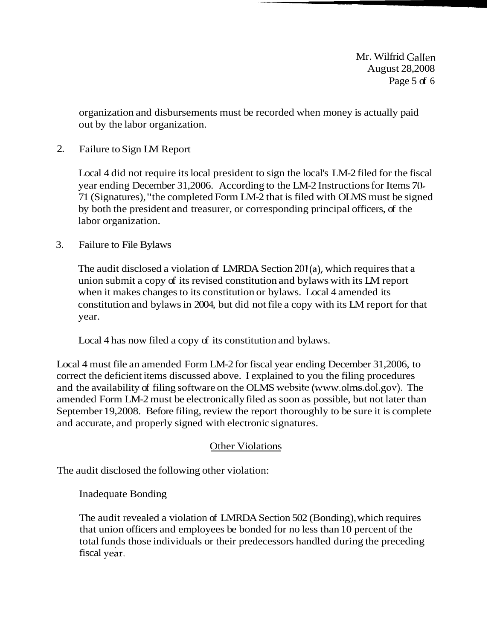Mr. Wilfrid Gallen August 28,2008 Page 5 of 6

organization and disbursements must be recorded when money is actually paid out by the labor organization.

2. Failure to Sign LM Report

Local 4 did not require its local president to sign the local's LM-2 filed for the fiscal year ending December 31,2006. According to the LM-2 Instructions for Items 70- 71 (Signatures), "the completed Form LM-2 that is filed with OLMS must be signed by both the president and treasurer, or corresponding principal officers, of the labor organization.

3. Failure to File Bylaws

The audit disclosed a violation of LMRDA Section 201(a), which requires that a union submit a copy of its revised constitution and bylaws with its LM report when it makes changes to its constitution or bylaws. Local 4 amended its constitution and bylaws in 2004, but did not file a copy with its LM report for that year.

Local 4 has now filed a copy of its constitution and bylaws.

Local 4 must file an amended Form LM-2 for fiscal year ending December 31,2006, to correct the deficient items discussed above. I explained to you the filing procedures and the availability of filing software on the OLMS website (www.olms.dol.gov). The amended Form LM-2 must be electronically filed as soon as possible, but not later than September 19,2008. Before filing, review the report thoroughly to be sure it is complete and accurate, and properly signed with electronic signatures.

# Other Violations

The audit disclosed the following other violation:

Inadequate Bonding

The audit revealed a violation of LMRDA Section 502 (Bonding), which requires that union officers and employees be bonded for no less than 10 percent of the total funds those individuals or their predecessors handled during the preceding fiscal year.